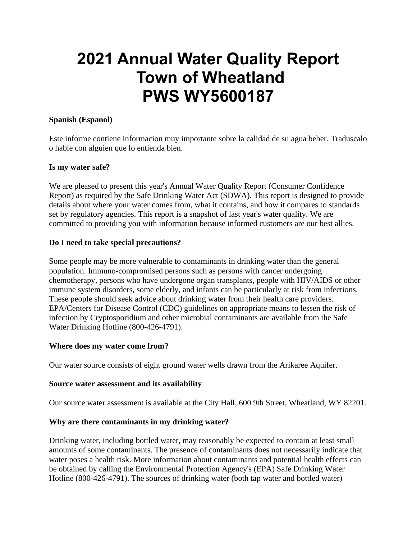# **2021 Annual Water Quality Report Town of Wheatland PWS WY5600187**

# **Spanish (Espanol)**

Este informe contiene informacion muy importante sobre la calidad de su agua beber. Traduscalo o hable con alguien que lo entienda bien.

#### **Is my water safe?**

We are pleased to present this year's Annual Water Quality Report (Consumer Confidence Report) as required by the Safe Drinking Water Act (SDWA). This report is designed to provide details about where your water comes from, what it contains, and how it compares to standards set by regulatory agencies. This report is a snapshot of last year's water quality. We are committed to providing you with information because informed customers are our best allies.

#### **Do I need to take special precautions?**

Some people may be more vulnerable to contaminants in drinking water than the general population. Immuno-compromised persons such as persons with cancer undergoing chemotherapy, persons who have undergone organ transplants, people with HIV/AIDS or other immune system disorders, some elderly, and infants can be particularly at risk from infections. These people should seek advice about drinking water from their health care providers. EPA/Centers for Disease Control (CDC) guidelines on appropriate means to lessen the risk of infection by Cryptosporidium and other microbial contaminants are available from the Safe Water Drinking Hotline (800-426-4791).

#### **Where does my water come from?**

Our water source consists of eight ground water wells drawn from the Arikaree Aquifer.

#### **Source water assessment and its availability**

Our source water assessment is available at the City Hall, 600 9th Street, Wheatland, WY 82201.

# **Why are there contaminants in my drinking water?**

Drinking water, including bottled water, may reasonably be expected to contain at least small amounts of some contaminants. The presence of contaminants does not necessarily indicate that water poses a health risk. More information about contaminants and potential health effects can be obtained by calling the Environmental Protection Agency's (EPA) Safe Drinking Water Hotline (800-426-4791). The sources of drinking water (both tap water and bottled water)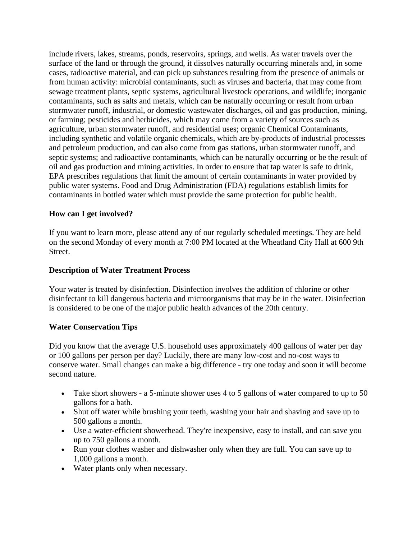include rivers, lakes, streams, ponds, reservoirs, springs, and wells. As water travels over the surface of the land or through the ground, it dissolves naturally occurring minerals and, in some cases, radioactive material, and can pick up substances resulting from the presence of animals or from human activity: microbial contaminants, such as viruses and bacteria, that may come from sewage treatment plants, septic systems, agricultural livestock operations, and wildlife; inorganic contaminants, such as salts and metals, which can be naturally occurring or result from urban stormwater runoff, industrial, or domestic wastewater discharges, oil and gas production, mining, or farming; pesticides and herbicides, which may come from a variety of sources such as agriculture, urban stormwater runoff, and residential uses; organic Chemical Contaminants, including synthetic and volatile organic chemicals, which are by-products of industrial processes and petroleum production, and can also come from gas stations, urban stormwater runoff, and septic systems; and radioactive contaminants, which can be naturally occurring or be the result of oil and gas production and mining activities. In order to ensure that tap water is safe to drink, EPA prescribes regulations that limit the amount of certain contaminants in water provided by public water systems. Food and Drug Administration (FDA) regulations establish limits for contaminants in bottled water which must provide the same protection for public health.

# **How can I get involved?**

If you want to learn more, please attend any of our regularly scheduled meetings. They are held on the second Monday of every month at 7:00 PM located at the Wheatland City Hall at 600 9th Street.

#### **Description of Water Treatment Process**

Your water is treated by disinfection. Disinfection involves the addition of chlorine or other disinfectant to kill dangerous bacteria and microorganisms that may be in the water. Disinfection is considered to be one of the major public health advances of the 20th century.

# **Water Conservation Tips**

Did you know that the average U.S. household uses approximately 400 gallons of water per day or 100 gallons per person per day? Luckily, there are many low-cost and no-cost ways to conserve water. Small changes can make a big difference - try one today and soon it will become second nature.

- Take short showers a 5-minute shower uses 4 to 5 gallons of water compared to up to 50 gallons for a bath.
- Shut off water while brushing your teeth, washing your hair and shaving and save up to 500 gallons a month.
- Use a water-efficient showerhead. They're inexpensive, easy to install, and can save you up to 750 gallons a month.
- Run your clothes washer and dishwasher only when they are full. You can save up to 1,000 gallons a month.
- Water plants only when necessary.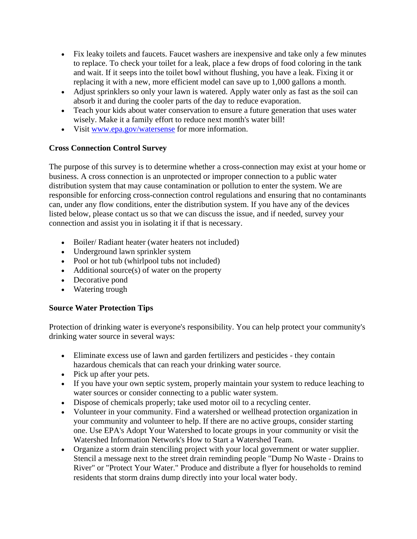- Fix leaky toilets and faucets. Faucet washers are inexpensive and take only a few minutes to replace. To check your toilet for a leak, place a few drops of food coloring in the tank and wait. If it seeps into the toilet bowl without flushing, you have a leak. Fixing it or replacing it with a new, more efficient model can save up to 1,000 gallons a month.
- Adjust sprinklers so only your lawn is watered. Apply water only as fast as the soil can absorb it and during the cooler parts of the day to reduce evaporation.
- Teach your kids about water conservation to ensure a future generation that uses water wisely. Make it a family effort to reduce next month's water bill!
- Visit [www.epa.gov/watersense](http://www.epa.gov/watersense) for more information.

# **Cross Connection Control Survey**

The purpose of this survey is to determine whether a cross-connection may exist at your home or business. A cross connection is an unprotected or improper connection to a public water distribution system that may cause contamination or pollution to enter the system. We are responsible for enforcing cross-connection control regulations and ensuring that no contaminants can, under any flow conditions, enter the distribution system. If you have any of the devices listed below, please contact us so that we can discuss the issue, and if needed, survey your connection and assist you in isolating it if that is necessary.

- Boiler/ Radiant heater (water heaters not included)
- Underground lawn sprinkler system
- Pool or hot tub (whirlpool tubs not included)
- Additional source(s) of water on the property
- Decorative pond
- Watering trough

# **Source Water Protection Tips**

Protection of drinking water is everyone's responsibility. You can help protect your community's drinking water source in several ways:

- Eliminate excess use of lawn and garden fertilizers and pesticides they contain hazardous chemicals that can reach your drinking water source.
- Pick up after your pets.
- If you have your own septic system, properly maintain your system to reduce leaching to water sources or consider connecting to a public water system.
- Dispose of chemicals properly; take used motor oil to a recycling center.
- Volunteer in your community. Find a watershed or wellhead protection organization in your community and volunteer to help. If there are no active groups, consider starting one. Use EPA's Adopt Your Watershed to locate groups in your community or visit the Watershed Information Network's How to Start a Watershed Team.
- Organize a storm drain stenciling project with your local government or water supplier. Stencil a message next to the street drain reminding people "Dump No Waste - Drains to River" or "Protect Your Water." Produce and distribute a flyer for households to remind residents that storm drains dump directly into your local water body.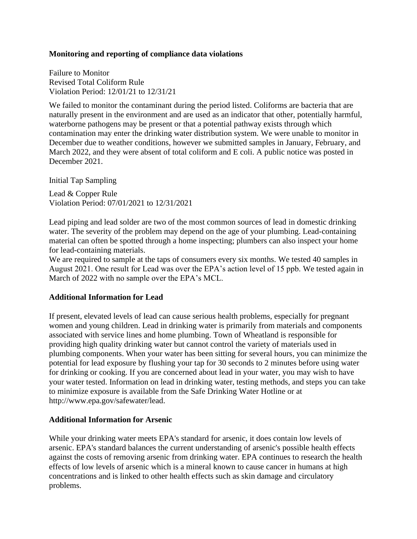#### **Monitoring and reporting of compliance data violations**

Failure to Monitor Revised Total Coliform Rule Violation Period: 12/01/21 to 12/31/21

We failed to monitor the contaminant during the period listed. Coliforms are bacteria that are naturally present in the environment and are used as an indicator that other, potentially harmful, waterborne pathogens may be present or that a potential pathway exists through which contamination may enter the drinking water distribution system. We were unable to monitor in December due to weather conditions, however we submitted samples in January, February, and March 2022, and they were absent of total coliform and E coli. A public notice was posted in December 2021.

Initial Tap Sampling

Lead & Copper Rule Violation Period: 07/01/2021 to 12/31/2021

Lead piping and lead solder are two of the most common sources of lead in domestic drinking water. The severity of the problem may depend on the age of your plumbing. Lead-containing material can often be spotted through a home inspecting; plumbers can also inspect your home for lead-containing materials.

We are required to sample at the taps of consumers every six months. We tested 40 samples in August 2021. One result for Lead was over the EPA's action level of 15 ppb. We tested again in March of 2022 with no sample over the EPA's MCL.

#### **Additional Information for Lead**

If present, elevated levels of lead can cause serious health problems, especially for pregnant women and young children. Lead in drinking water is primarily from materials and components associated with service lines and home plumbing. Town of Wheatland is responsible for providing high quality drinking water but cannot control the variety of materials used in plumbing components. When your water has been sitting for several hours, you can minimize the potential for lead exposure by flushing your tap for 30 seconds to 2 minutes before using water for drinking or cooking. If you are concerned about lead in your water, you may wish to have your water tested. Information on lead in drinking water, testing methods, and steps you can take to minimize exposure is available from the Safe Drinking Water Hotline or at http://www.epa.gov/safewater/lead.

#### **Additional Information for Arsenic**

While your drinking water meets EPA's standard for arsenic, it does contain low levels of arsenic. EPA's standard balances the current understanding of arsenic's possible health effects against the costs of removing arsenic from drinking water. EPA continues to research the health effects of low levels of arsenic which is a mineral known to cause cancer in humans at high concentrations and is linked to other health effects such as skin damage and circulatory problems.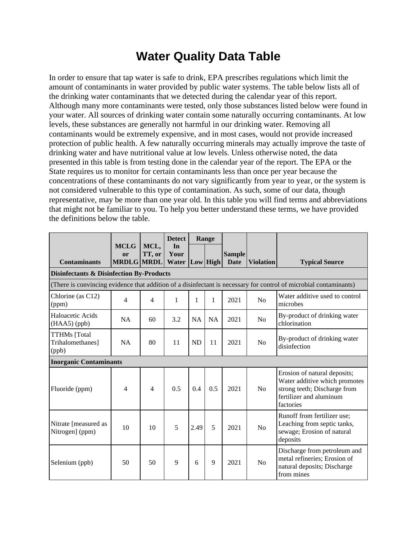# **Water Quality Data Table**

In order to ensure that tap water is safe to drink, EPA prescribes regulations which limit the amount of contaminants in water provided by public water systems. The table below lists all of the drinking water contaminants that we detected during the calendar year of this report. Although many more contaminants were tested, only those substances listed below were found in your water. All sources of drinking water contain some naturally occurring contaminants. At low levels, these substances are generally not harmful in our drinking water. Removing all contaminants would be extremely expensive, and in most cases, would not provide increased protection of public health. A few naturally occurring minerals may actually improve the taste of drinking water and have nutritional value at low levels. Unless otherwise noted, the data presented in this table is from testing done in the calendar year of the report. The EPA or the State requires us to monitor for certain contaminants less than once per year because the concentrations of these contaminants do not vary significantly from year to year, or the system is not considered vulnerable to this type of contamination. As such, some of our data, though representative, may be more than one year old. In this table you will find terms and abbreviations that might not be familiar to you. To help you better understand these terms, we have provided the definitions below the table.

|                                                     |                                 |                | <b>Detect</b>       |           | Range     |                              |                  |                                                                                                                                       |
|-----------------------------------------------------|---------------------------------|----------------|---------------------|-----------|-----------|------------------------------|------------------|---------------------------------------------------------------------------------------------------------------------------------------|
| <b>Contaminants</b>                                 | <b>MCLG</b><br>or<br>MRDLG MRDL | MCL,<br>TT, or | In<br>Your<br>Water |           | Low High  | <b>Sample</b><br><b>Date</b> | <b>Violation</b> | <b>Typical Source</b>                                                                                                                 |
| <b>Disinfectants &amp; Disinfection By-Products</b> |                                 |                |                     |           |           |                              |                  |                                                                                                                                       |
|                                                     |                                 |                |                     |           |           |                              |                  | (There is convincing evidence that addition of a disinfectant is necessary for control of microbial contaminants)                     |
| Chlorine (as C12)<br>(ppm)                          | 4                               | $\overline{4}$ | 1                   | 1         | 1         | 2021                         | No               | Water additive used to control<br>microbes                                                                                            |
| Haloacetic Acids<br>$(HAA5)$ (ppb)                  | <b>NA</b>                       | 60             | 3.2                 | <b>NA</b> | <b>NA</b> | 2021                         | N <sub>o</sub>   | By-product of drinking water<br>chlorination                                                                                          |
| <b>TTHMs</b> [Total<br>Trihalomethanes]<br>(ppb)    | NA                              | 80             | 11                  | <b>ND</b> | 11        | 2021                         | N <sub>0</sub>   | By-product of drinking water<br>disinfection                                                                                          |
|                                                     | <b>Inorganic Contaminants</b>   |                |                     |           |           |                              |                  |                                                                                                                                       |
| Fluoride (ppm)                                      | 4                               | 4              | 0.5                 | 0.4       | 0.5       | 2021                         | N <sub>0</sub>   | Erosion of natural deposits;<br>Water additive which promotes<br>strong teeth; Discharge from<br>fertilizer and aluminum<br>factories |
| Nitrate [measured as<br>Nitrogen] (ppm)             | 10                              | 10             | 5                   | 2.49      | 5         | 2021                         | N <sub>o</sub>   | Runoff from fertilizer use;<br>Leaching from septic tanks,<br>sewage; Erosion of natural<br>deposits                                  |
| Selenium (ppb)                                      | 50                              | 50             | 9                   | 6         | 9         | 2021                         | N <sub>o</sub>   | Discharge from petroleum and<br>metal refineries; Erosion of<br>natural deposits; Discharge<br>from mines                             |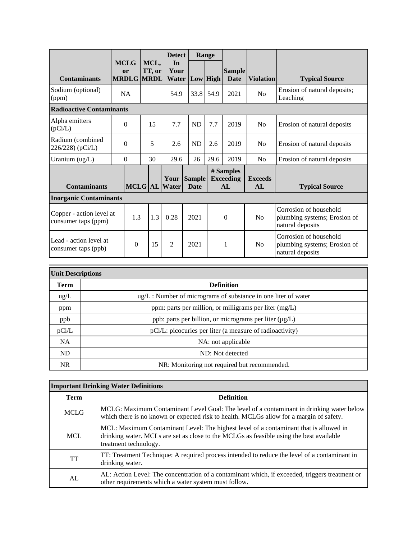|                                                 |                                        |  |                | <b>Detect</b>       |                            | Range |                                     |                      |                                                                            |
|-------------------------------------------------|----------------------------------------|--|----------------|---------------------|----------------------------|-------|-------------------------------------|----------------------|----------------------------------------------------------------------------|
| <b>Contaminants</b>                             | <b>MCLG</b><br>or<br><b>MRDLG MRDL</b> |  | MCL,<br>TT, or | In<br>Your<br>Water | Low High                   |       | <b>Sample</b><br><b>Date</b>        | <b>Violation</b>     | <b>Typical Source</b>                                                      |
| Sodium (optional)<br>(ppm)                      | <b>NA</b>                              |  |                | 54.9                | 33.8                       | 54.9  | 2021                                | No                   | Erosion of natural deposits;<br>Leaching                                   |
| <b>Radioactive Contaminants</b>                 |                                        |  |                |                     |                            |       |                                     |                      |                                                                            |
| Alpha emitters<br>(pCi/L)                       | $\Omega$                               |  | 15             | 7.7                 | <b>ND</b>                  | 7.7   | 2019                                | N <sub>0</sub>       | Erosion of natural deposits                                                |
| Radium (combined<br>226/228) (pCi/L)            | $\theta$                               |  | 5              | 2.6                 | <b>ND</b>                  | 2.6   | 2019                                | N <sub>0</sub>       | Erosion of natural deposits                                                |
| Uranium (ug/L)                                  | $\Omega$                               |  | 30             | 29.6                | 26                         | 29.6  | 2019                                | N <sub>0</sub>       | Erosion of natural deposits                                                |
| <b>Contaminants</b>                             |                                        |  |                | MCLG AL Water       | Your Sample<br><b>Date</b> |       | # Samples<br><b>Exceeding</b><br>AL | <b>Exceeds</b><br>AL | <b>Typical Source</b>                                                      |
| <b>Inorganic Contaminants</b>                   |                                        |  |                |                     |                            |       |                                     |                      |                                                                            |
| Copper - action level at<br>consumer taps (ppm) | 1.3                                    |  | 1.3            | 0.28                | 2021                       |       | $\theta$                            | N <sub>o</sub>       | Corrosion of household<br>plumbing systems; Erosion of<br>natural deposits |
| Lead - action level at<br>consumer taps (ppb)   | $\theta$                               |  | 15             | $\mathfrak{D}$      | 2021                       |       | 1                                   | N <sub>0</sub>       | Corrosion of household<br>plumbing systems; Erosion of<br>natural deposits |

| <b>Unit Descriptions</b> |                                                                     |  |  |  |  |
|--------------------------|---------------------------------------------------------------------|--|--|--|--|
| <b>Term</b>              | <b>Definition</b>                                                   |  |  |  |  |
| $\text{ug/L}$            | $\mu$ g/L : Number of micrograms of substance in one liter of water |  |  |  |  |
| ppm                      | ppm: parts per million, or milligrams per liter $(mg/L)$            |  |  |  |  |
| ppb                      | ppb: parts per billion, or micrograms per liter (µg/L)              |  |  |  |  |
| pCi/L                    | pCi/L: picocuries per liter (a measure of radioactivity)            |  |  |  |  |
| <b>NA</b>                | NA: not applicable                                                  |  |  |  |  |
| ND                       | ND: Not detected                                                    |  |  |  |  |
| <b>NR</b>                | NR: Monitoring not required but recommended.                        |  |  |  |  |

| <b>Important Drinking Water Definitions</b> |                                                                                                                                                                                                           |  |  |  |
|---------------------------------------------|-----------------------------------------------------------------------------------------------------------------------------------------------------------------------------------------------------------|--|--|--|
| <b>Term</b>                                 | <b>Definition</b>                                                                                                                                                                                         |  |  |  |
| <b>MCLG</b>                                 | MCLG: Maximum Contaminant Level Goal: The level of a contaminant in drinking water below<br>which there is no known or expected risk to health. MCLGs allow for a margin of safety.                       |  |  |  |
| <b>MCL</b>                                  | MCL: Maximum Contaminant Level: The highest level of a contaminant that is allowed in<br>drinking water. MCLs are set as close to the MCLGs as feasible using the best available<br>treatment technology. |  |  |  |
| <b>TT</b>                                   | TT: Treatment Technique: A required process intended to reduce the level of a contaminant in<br>drinking water.                                                                                           |  |  |  |
| AL                                          | AL: Action Level: The concentration of a contaminant which, if exceeded, triggers treatment or<br>other requirements which a water system must follow.                                                    |  |  |  |